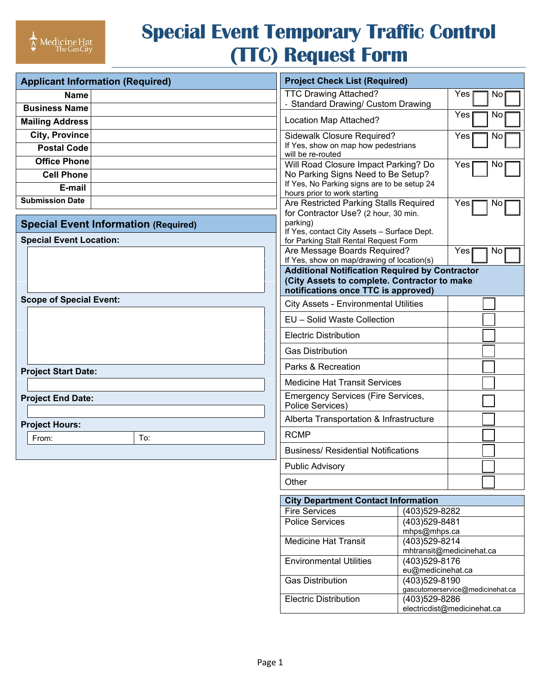# **Special Event Temporary Traffic Control (TTC) Request Form**

| <b>Applicant Information (Required)</b>     |     |  | <b>Project Check List (Required)</b>                                        |                                                   |     |           |  |
|---------------------------------------------|-----|--|-----------------------------------------------------------------------------|---------------------------------------------------|-----|-----------|--|
| <b>Name</b>                                 |     |  | <b>TTC Drawing Attached?</b>                                                |                                                   | Yes | No        |  |
| <b>Business Name</b>                        |     |  | - Standard Drawing/ Custom Drawing                                          |                                                   | Yes | No        |  |
| <b>Mailing Address</b>                      |     |  | Location Map Attached?                                                      |                                                   |     |           |  |
| <b>City, Province</b>                       |     |  | Sidewalk Closure Required?                                                  |                                                   | Yes | No        |  |
| <b>Postal Code</b>                          |     |  | If Yes, show on map how pedestrians<br>will be re-routed                    |                                                   |     |           |  |
| <b>Office Phone</b>                         |     |  | Will Road Closure Impact Parking? Do                                        |                                                   | Yes | <b>NO</b> |  |
| <b>Cell Phone</b>                           |     |  | No Parking Signs Need to Be Setup?                                          |                                                   |     |           |  |
| E-mail                                      |     |  | If Yes, No Parking signs are to be setup 24<br>hours prior to work starting |                                                   |     |           |  |
| <b>Submission Date</b>                      |     |  | Are Restricted Parking Stalls Required                                      |                                                   | Yes | No        |  |
|                                             |     |  | for Contractor Use? (2 hour, 30 min.                                        |                                                   |     |           |  |
| <b>Special Event Information (Required)</b> |     |  | parking)<br>If Yes, contact City Assets - Surface Dept.                     |                                                   |     |           |  |
| <b>Special Event Location:</b>              |     |  | for Parking Stall Rental Request Form                                       |                                                   |     |           |  |
|                                             |     |  | Are Message Boards Required?<br>If Yes, show on map/drawing of location(s)  |                                                   | Yes | No        |  |
|                                             |     |  | <b>Additional Notification Required by Contractor</b>                       |                                                   |     |           |  |
|                                             |     |  | (City Assets to complete. Contractor to make                                |                                                   |     |           |  |
| <b>Scope of Special Event:</b>              |     |  | notifications once TTC is approved)                                         |                                                   |     |           |  |
|                                             |     |  | <b>City Assets - Environmental Utilities</b>                                |                                                   |     |           |  |
|                                             |     |  | EU - Solid Waste Collection<br><b>Electric Distribution</b>                 |                                                   |     |           |  |
|                                             |     |  | <b>Gas Distribution</b>                                                     |                                                   |     |           |  |
|                                             |     |  | Parks & Recreation                                                          |                                                   |     |           |  |
| <b>Project Start Date:</b>                  |     |  | <b>Medicine Hat Transit Services</b>                                        |                                                   |     |           |  |
| <b>Project End Date:</b>                    |     |  | <b>Emergency Services (Fire Services,</b>                                   |                                                   |     |           |  |
|                                             |     |  | Police Services)                                                            |                                                   |     |           |  |
| <b>Project Hours:</b>                       |     |  | Alberta Transportation & Infrastructure                                     |                                                   |     |           |  |
| From:                                       | To: |  | <b>RCMP</b>                                                                 |                                                   |     |           |  |
|                                             |     |  | <b>Business/ Residential Notifications</b>                                  |                                                   |     |           |  |
|                                             |     |  | Public Advisory                                                             |                                                   |     |           |  |
|                                             |     |  | Other                                                                       |                                                   |     |           |  |
|                                             |     |  | <b>City Department Contact Information</b>                                  |                                                   |     |           |  |
|                                             |     |  | <b>Fire Services</b>                                                        | (403)529-8282                                     |     |           |  |
|                                             |     |  | <b>Police Services</b>                                                      | (403)529-8481<br>mhps@mhps.ca                     |     |           |  |
|                                             |     |  | <b>Medicine Hat Transit</b>                                                 | (403)529-8214                                     |     |           |  |
|                                             |     |  |                                                                             | mhtransit@medicinehat.ca                          |     |           |  |
|                                             |     |  | <b>Environmental Utilities</b>                                              | (403)529-8176<br>eu@medicinehat.ca                |     |           |  |
|                                             |     |  | <b>Gas Distribution</b>                                                     | (403)529-8190                                     |     |           |  |
|                                             |     |  | <b>Electric Distribution</b>                                                | gascutomerservice@medicinehat.ca<br>(403)529-8286 |     |           |  |
|                                             |     |  |                                                                             | electricdist@medicinehat.ca                       |     |           |  |